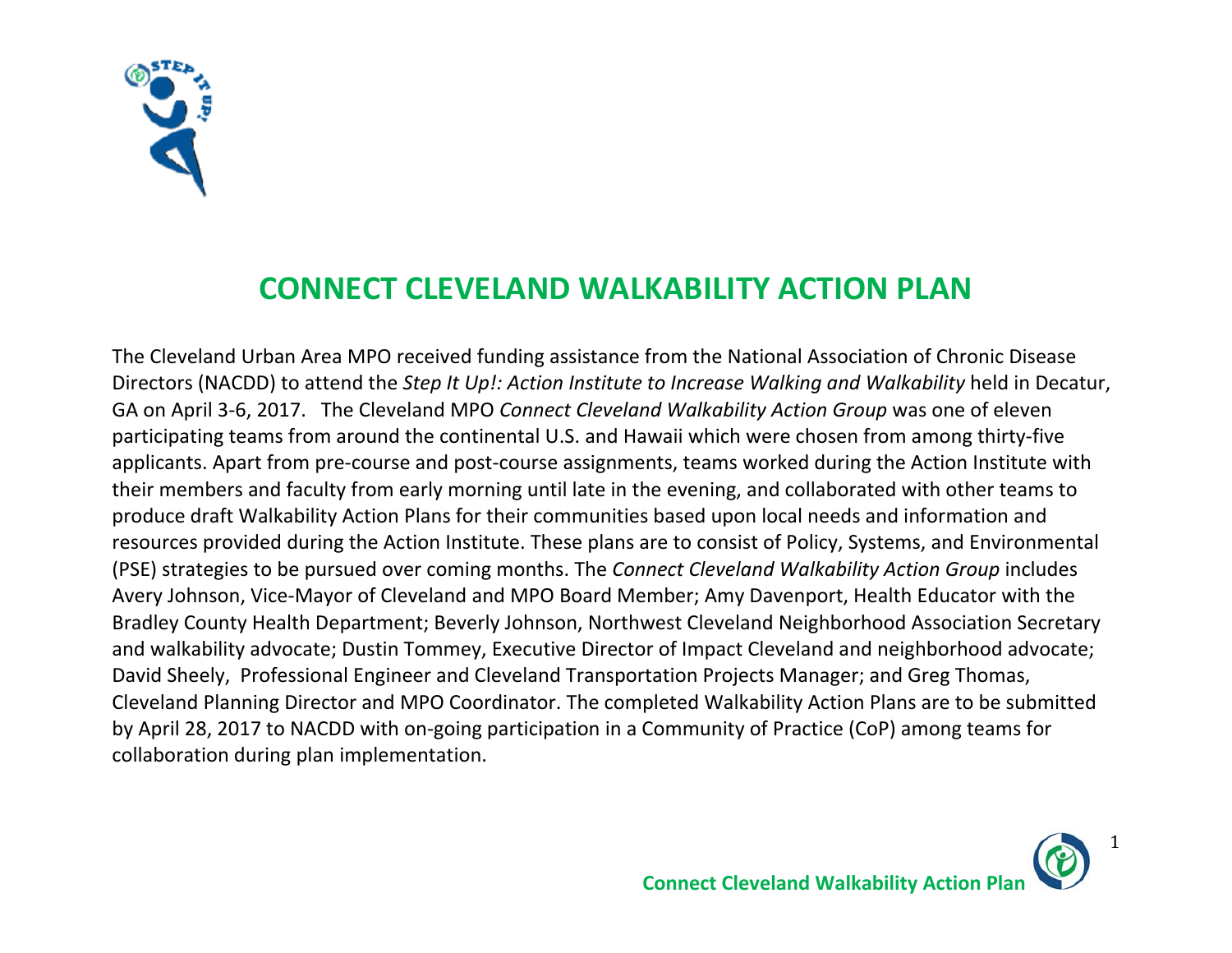

## **CONNECT CLEVELAND WALKABILITY ACTION PLAN**

The Cleveland Urban Area MPO received funding assistance from the National Association of Chronic Disease Directors (NACDD) to attend the *Step It Up!: Action Institute to Increase Walking and Walkability* held in Decatur, GA on April 3‐6, 2017. The Cleveland MPO *Connect Cleveland Walkability Action Group* was one of eleven participating teams from around the continental U.S. and Hawaii which were chosen from among thirty‐five applicants. Apart from pre‐course and post‐course assignments, teams worked during the Action Institute with their members and faculty from early morning until late in the evening, and collaborated with other teams to produce draft Walkability Action Plans for their communities based upon local needs and information and resources provided during the Action Institute. These plans are to consist of Policy, Systems, and Environmental (PSE) strategies to be pursued over coming months. The *Connect Cleveland Walkability Action Group* includes Avery Johnson, Vice‐Mayor of Cleveland and MPO Board Member; Amy Davenport, Health Educator with the Bradley County Health Department; Beverly Johnson, Northwest Cleveland Neighborhood Association Secretary and walkability advocate; Dustin Tommey, Executive Director of Impact Cleveland and neighborhood advocate; David Sheely, Professional Engineer and Cleveland Transportation Projects Manager; and Greg Thomas, Cleveland Planning Director and MPO Coordinator. The completed Walkability Action Plans are to be submitted by April 28, 2017 to NACDD with on‐going participation in a Community of Practice (CoP) among teams for collaboration during plan implementation.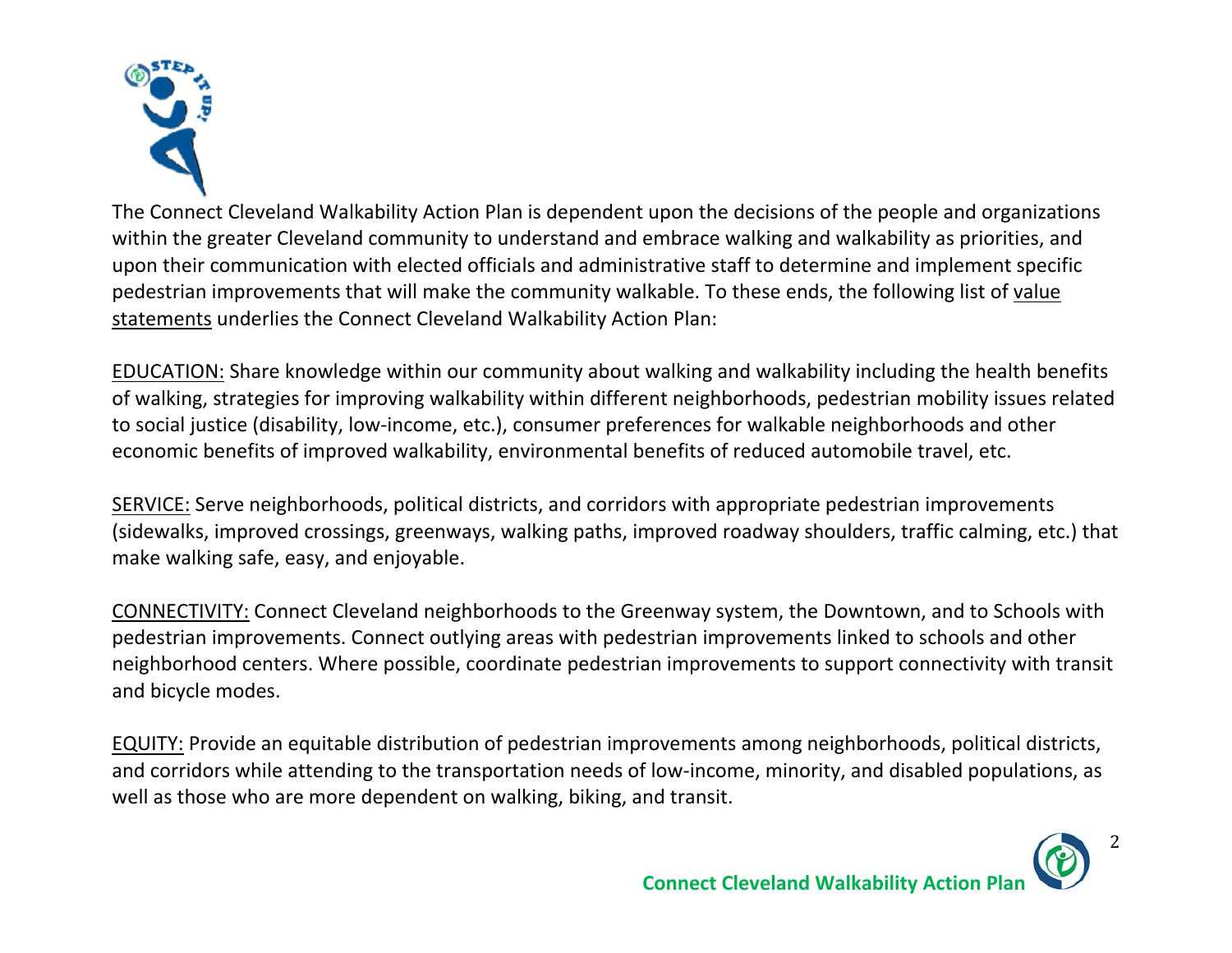

The Connect Cleveland Walkability Action Plan is dependent upon the decisions of the people and organizations within the greater Cleveland community to understand and embrace walking and walkability as priorities, and upon their communication with elected officials and administrative staff to determine and implement specific pedestrian improvements that will make the community walkable. To these ends, the following list of value statements underlies the Connect Cleveland Walkability Action Plan:

EDUCATION: Share knowledge within our community about walking and walkability including the health benefits of walking, strategies for improving walkability within different neighborhoods, pedestrian mobility issues related to social justice (disability, low‐income, etc.), consumer preferences for walkable neighborhoods and other economic benefits of improved walkability, environmental benefits of reduced automobile travel, etc.

SERVICE: Serve neighborhoods, political districts, and corridors with appropriate pedestrian improvements (sidewalks, improved crossings, greenways, walking paths, improved roadway shoulders, traffic calming, etc.) that make walking safe, easy, and enjoyable.

CONNECTIVITY: Connect Cleveland neighborhoods to the Greenway system, the Downtown, and to Schools with pedestrian improvements. Connect outlying areas with pedestrian improvements linked to schools and other neighborhood centers. Where possible, coordinate pedestrian improvements to support connectivity with transit and bicycle modes.

EQUITY: Provide an equitable distribution of pedestrian improvements among neighborhoods, political districts, and corridors while attending to the transportation needs of low-income, minority, and disabled populations, as well as those who are more dependent on walking, biking, and transit.

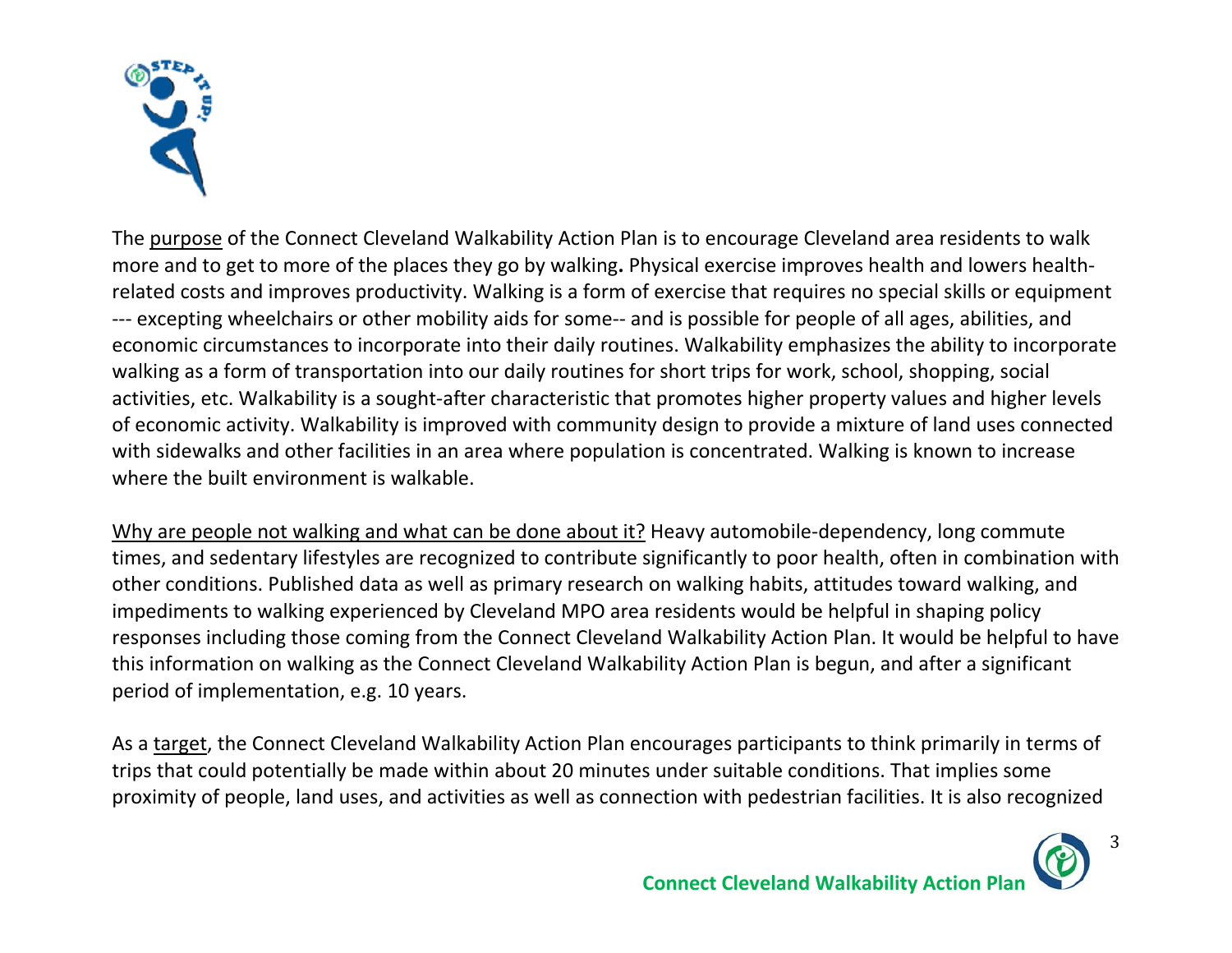

The purpose of the Connect Cleveland Walkability Action Plan is to encourage Cleveland area residents to walk more and to get to more of the places they go by walking**.** Physical exercise improves health and lowers health‐ related costs and improves productivity. Walking is a form of exercise that requires no special skills or equipment ‐‐‐ excepting wheelchairs or other mobility aids for some‐‐ and is possible for people of all ages, abilities, and economic circumstances to incorporate into their daily routines. Walkability emphasizes the ability to incorporate walking as a form of transportation into our daily routines for short trips for work, school, shopping, social activities, etc. Walkability is a sought‐after characteristic that promotes higher property values and higher levels of economic activity. Walkability is improved with community design to provide a mixture of land uses connected with sidewalks and other facilities in an area where population is concentrated. Walking is known to increase where the built environment is walkable.

Why are people not walking and what can be done about it? Heavy automobile-dependency, long commute times, and sedentary lifestyles are recognized to contribute significantly to poor health, often in combination with other conditions. Published data as well as primary research on walking habits, attitudes toward walking, and impediments to walking experienced by Cleveland MPO area residents would be helpful in shaping policy responses including those coming from the Connect Cleveland Walkability Action Plan. It would be helpful to have this information on walking as the Connect Cleveland Walkability Action Plan is begun, and after a significant period of implementation, e.g. 10 years.

As a target, the Connect Cleveland Walkability Action Plan encourages participants to think primarily in terms of trips that could potentially be made within about 20 minutes under suitable conditions. That implies some proximity of people, land uses, and activities as well as connection with pedestrian facilities. It is also recognized

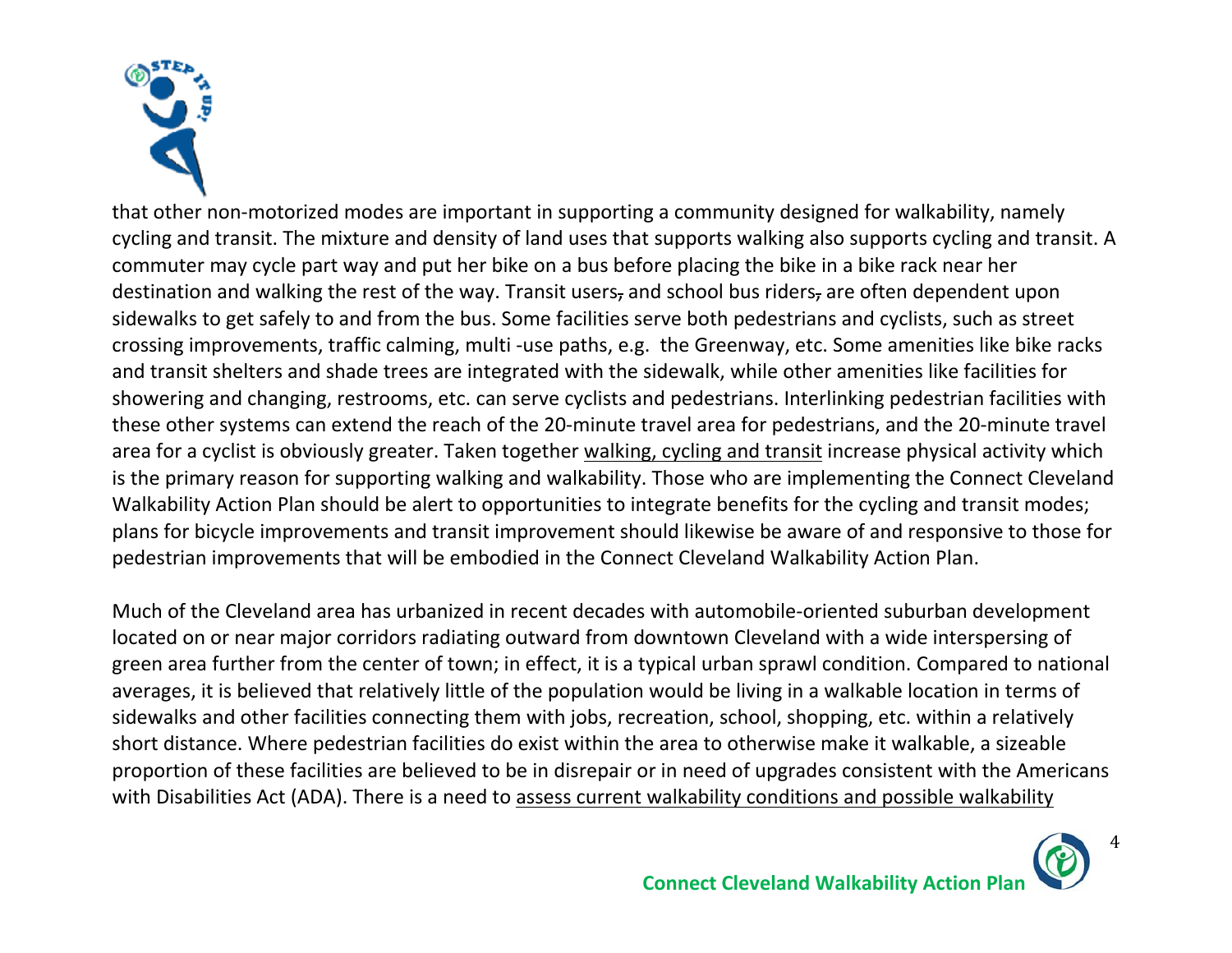

that other non‐motorized modes are important in supporting a community designed for walkability, namely cycling and transit. The mixture and density of land uses that supports walking also supports cycling and transit. A commuter may cycle part way and put her bike on a bus before placing the bike in a bike rack near her destination and walking the rest of the way. Transit users, and school bus riders, are often dependent upon sidewalks to get safely to and from the bus. Some facilities serve both pedestrians and cyclists, such as street crossing improvements, traffic calming, multi ‐use paths, e.g. the Greenway, etc. Some amenities like bike racks and transit shelters and shade trees are integrated with the sidewalk, while other amenities like facilities for showering and changing, restrooms, etc. can serve cyclists and pedestrians. Interlinking pedestrian facilities with these other systems can extend the reach of the 20‐minute travel area for pedestrians, and the 20‐minute travel area for a cyclist is obviously greater. Taken together walking, cycling and transit increase physical activity which is the primary reason for supporting walking and walkability. Those who are implementing the Connect Cleveland Walkability Action Plan should be alert to opportunities to integrate benefits for the cycling and transit modes; plans for bicycle improvements and transit improvement should likewise be aware of and responsive to those for pedestrian improvements that will be embodied in the Connect Cleveland Walkability Action Plan.

Much of the Cleveland area has urbanized in recent decades with automobile‐oriented suburban development located on or near major corridors radiating outward from downtown Cleveland with a wide interspersing of green area further from the center of town; in effect, it is a typical urban sprawl condition. Compared to national averages, it is believed that relatively little of the population would be living in a walkable location in terms of sidewalks and other facilities connecting them with jobs, recreation, school, shopping, etc. within a relatively short distance. Where pedestrian facilities do exist within the area to otherwise make it walkable, a sizeable proportion of these facilities are believed to be in disrepair or in need of upgrades consistent with the Americans with Disabilities Act (ADA). There is a need to assess current walkability conditions and possible walkability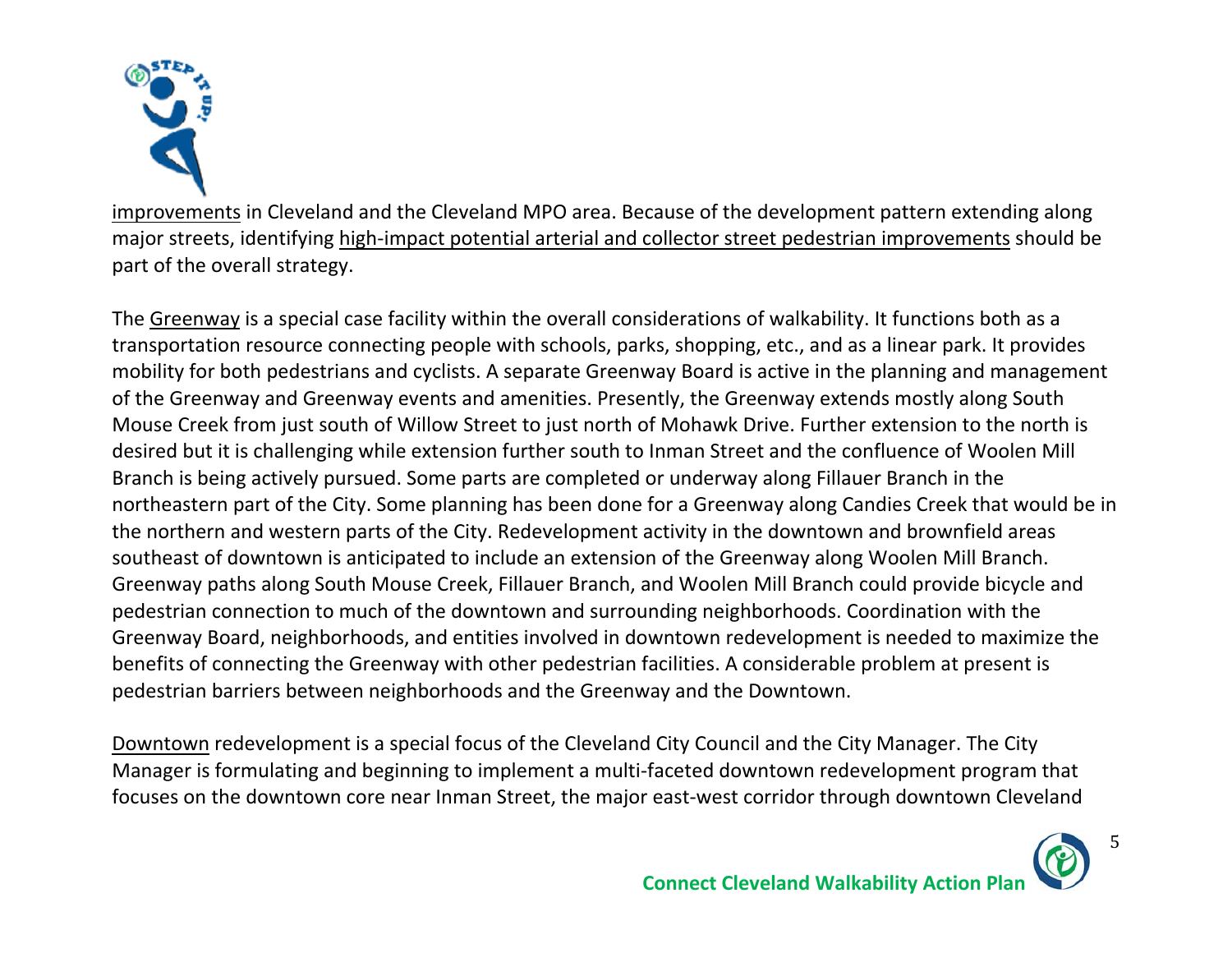

improvements in Cleveland and the Cleveland MPO area. Because of the development pattern extending along major streets, identifying high-impact potential arterial and collector street pedestrian improvements should be part of the overall strategy.

The Greenway is a special case facility within the overall considerations of walkability. It functions both as a transportation resource connecting people with schools, parks, shopping, etc., and as a linear park. It provides mobility for both pedestrians and cyclists. A separate Greenway Board is active in the planning and management of the Greenway and Greenway events and amenities. Presently, the Greenway extends mostly along South Mouse Creek from just south of Willow Street to just north of Mohawk Drive. Further extension to the north is desired but it is challenging while extension further south to Inman Street and the confluence of Woolen Mill Branch is being actively pursued. Some parts are completed or underway along Fillauer Branch in the northeastern part of the City. Some planning has been done for a Greenway along Candies Creek that would be in the northern and western parts of the City. Redevelopment activity in the downtown and brownfield areas southeast of downtown is anticipated to include an extension of the Greenway along Woolen Mill Branch. Greenway paths along South Mouse Creek, Fillauer Branch, and Woolen Mill Branch could provide bicycle and pedestrian connection to much of the downtown and surrounding neighborhoods. Coordination with the Greenway Board, neighborhoods, and entities involved in downtown redevelopment is needed to maximize the benefits of connecting the Greenway with other pedestrian facilities. A considerable problem at present is pedestrian barriers between neighborhoods and the Greenway and the Downtown.

Downtown redevelopment is a special focus of the Cleveland City Council and the City Manager. The City Manager is formulating and beginning to implement a multi‐faceted downtown redevelopment program that focuses on the downtown core near Inman Street, the major east-west corridor through downtown Cleveland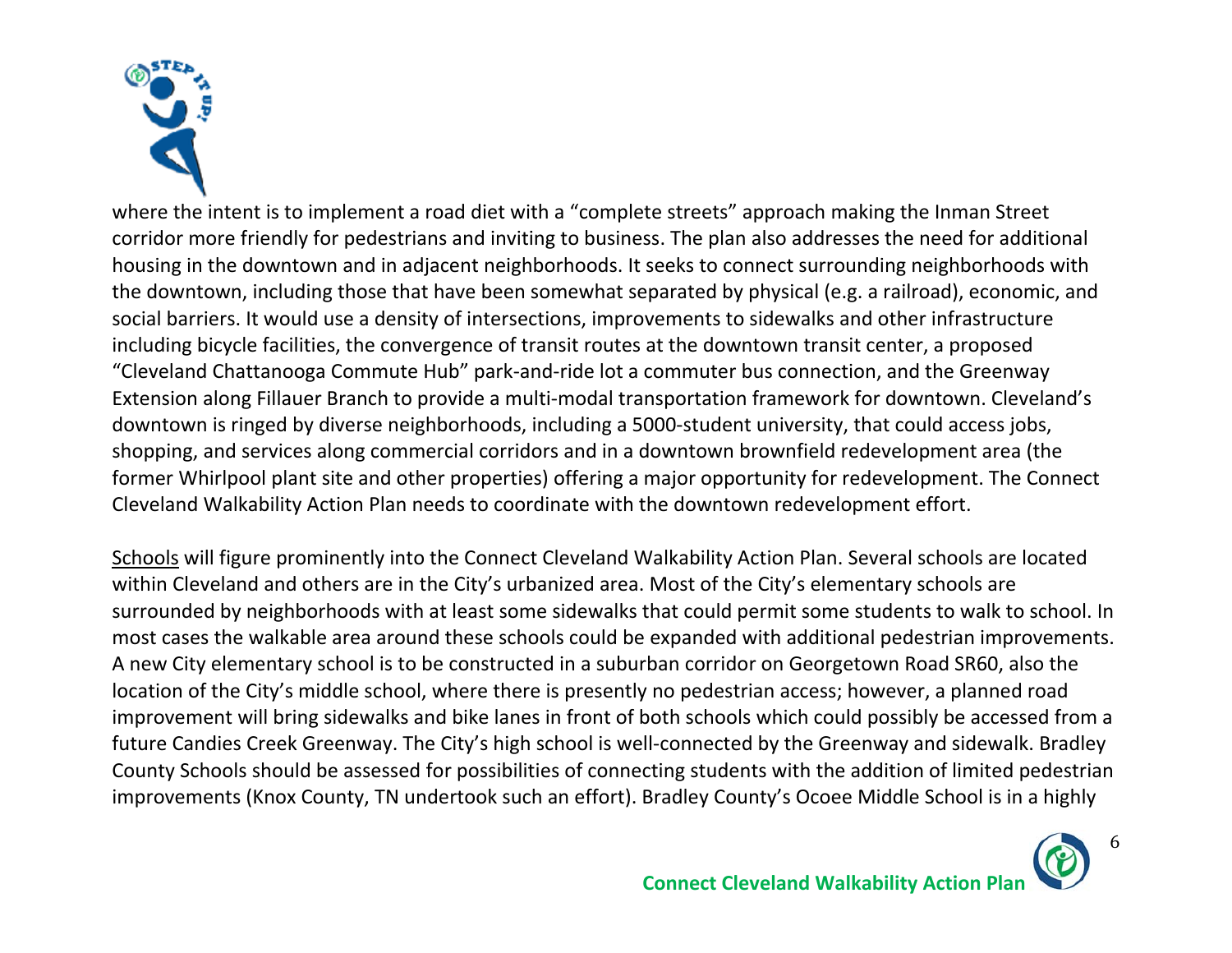

where the intent is to implement a road diet with a "complete streets" approach making the Inman Street corridor more friendly for pedestrians and inviting to business. The plan also addresses the need for additional housing in the downtown and in adjacent neighborhoods. It seeks to connect surrounding neighborhoods with the downtown, including those that have been somewhat separated by physical (e.g. a railroad), economic, and social barriers. It would use a density of intersections, improvements to sidewalks and other infrastructure including bicycle facilities, the convergence of transit routes at the downtown transit center, a proposed "Cleveland Chattanooga Commute Hub" park‐and‐ride lot a commuter bus connection, and the Greenway Extension along Fillauer Branch to provide a multi‐modal transportation framework for downtown. Cleveland's downtown is ringed by diverse neighborhoods, including a 5000‐student university, that could access jobs, shopping, and services along commercial corridors and in a downtown brownfield redevelopment area (the former Whirlpool plant site and other properties) offering a major opportunity for redevelopment. The Connect Cleveland Walkability Action Plan needs to coordinate with the downtown redevelopment effort.

Schools will figure prominently into the Connect Cleveland Walkability Action Plan. Several schools are located within Cleveland and others are in the City's urbanized area. Most of the City's elementary schools are surrounded by neighborhoods with at least some sidewalks that could permit some students to walk to school. In most cases the walkable area around these schools could be expanded with additional pedestrian improvements. A new City elementary school is to be constructed in a suburban corridor on Georgetown Road SR60, also the location of the City's middle school, where there is presently no pedestrian access; however, a planned road improvement will bring sidewalks and bike lanes in front of both schools which could possibly be accessed from a future Candies Creek Greenway. The City's high school is well‐connected by the Greenway and sidewalk. Bradley County Schools should be assessed for possibilities of connecting students with the addition of limited pedestrian improvements (Knox County, TN undertook such an effort). Bradley County's Ocoee Middle School is in a highly

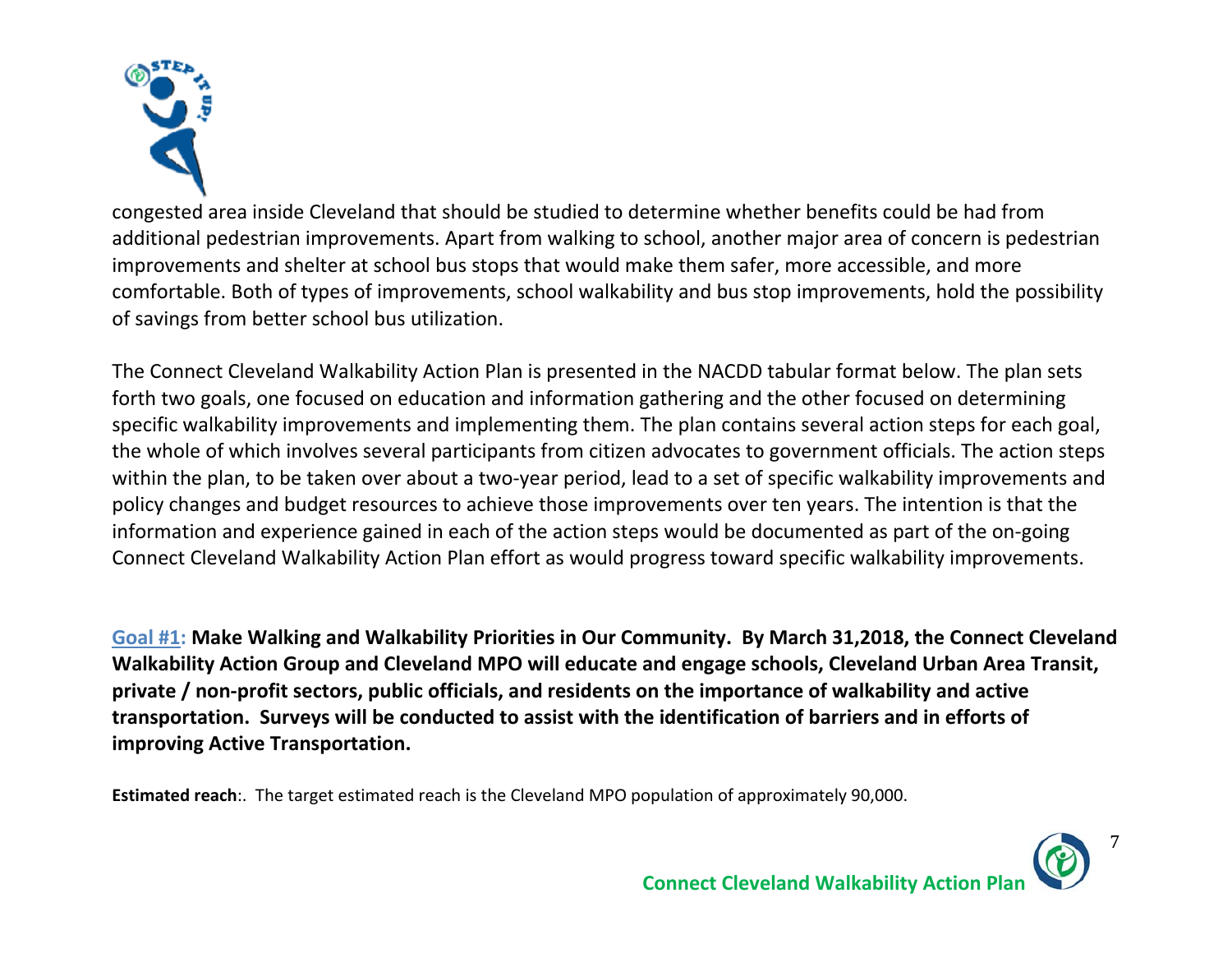

congested area inside Cleveland that should be studied to determine whether benefits could be had from additional pedestrian improvements. Apart from walking to school, another major area of concern is pedestrian improvements and shelter at school bus stops that would make them safer, more accessible, and more comfortable. Both of types of improvements, school walkability and bus stop improvements, hold the possibility of savings from better school bus utilization.

The Connect Cleveland Walkability Action Plan is presented in the NACDD tabular format below. The plan sets forth two goals, one focused on education and information gathering and the other focused on determining specific walkability improvements and implementing them. The plan contains several action steps for each goal, the whole of which involves several participants from citizen advocates to government officials. The action steps within the plan, to be taken over about a two-year period, lead to a set of specific walkability improvements and policy changes and budget resources to achieve those improvements over ten years. The intention is that the information and experience gained in each of the action steps would be documented as part of the on‐going Connect Cleveland Walkability Action Plan effort as would progress toward specific walkability improvements.

**Goal #1: Make Walking and Walkability Priorities in Our Community. By March 31,2018, the Connect Cleveland Walkability Action Group and Cleveland MPO will educate and engage schools, Cleveland Urban Area Transit, private / non‐profit sectors, public officials, and residents on the importance of walkability and active transportation. Surveys will be conducted to assist with the identification of barriers and in efforts of improving Active Transportation.** 

**Estimated reach**:. The target estimated reach is the Cleveland MPO population of approximately 90,000.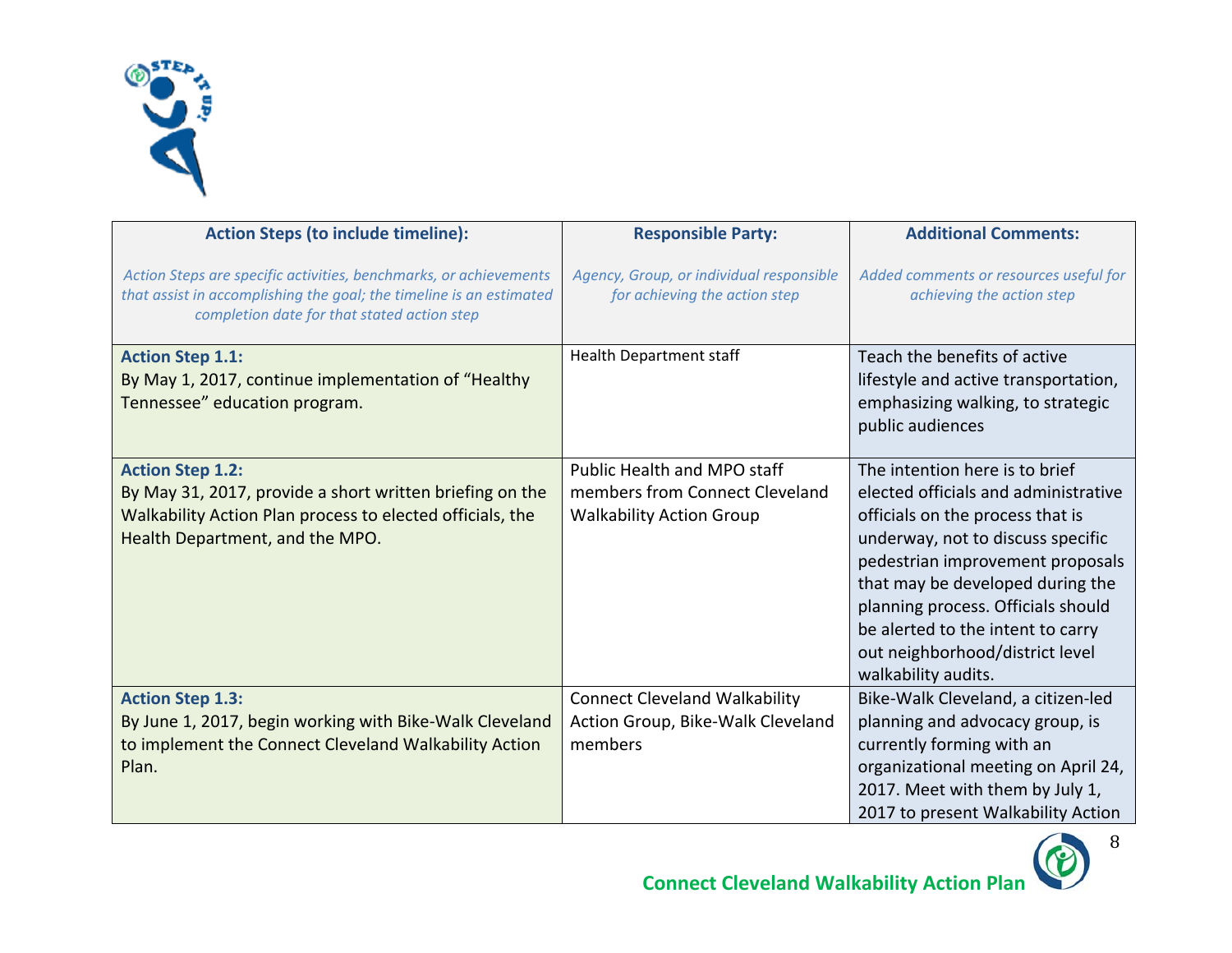

| <b>Action Steps (to include timeline):</b>                                                                                                                                              | <b>Responsible Party:</b>                                                                        | <b>Additional Comments:</b>                                                                                                                                                                                                                                                                                                                                  |
|-----------------------------------------------------------------------------------------------------------------------------------------------------------------------------------------|--------------------------------------------------------------------------------------------------|--------------------------------------------------------------------------------------------------------------------------------------------------------------------------------------------------------------------------------------------------------------------------------------------------------------------------------------------------------------|
| Action Steps are specific activities, benchmarks, or achievements<br>that assist in accomplishing the goal; the timeline is an estimated<br>completion date for that stated action step | Agency, Group, or individual responsible<br>for achieving the action step                        | Added comments or resources useful for<br>achieving the action step                                                                                                                                                                                                                                                                                          |
| <b>Action Step 1.1:</b><br>By May 1, 2017, continue implementation of "Healthy<br>Tennessee" education program.                                                                         | <b>Health Department staff</b>                                                                   | Teach the benefits of active<br>lifestyle and active transportation,<br>emphasizing walking, to strategic<br>public audiences                                                                                                                                                                                                                                |
| <b>Action Step 1.2:</b><br>By May 31, 2017, provide a short written briefing on the<br>Walkability Action Plan process to elected officials, the<br>Health Department, and the MPO.     | Public Health and MPO staff<br>members from Connect Cleveland<br><b>Walkability Action Group</b> | The intention here is to brief<br>elected officials and administrative<br>officials on the process that is<br>underway, not to discuss specific<br>pedestrian improvement proposals<br>that may be developed during the<br>planning process. Officials should<br>be alerted to the intent to carry<br>out neighborhood/district level<br>walkability audits. |
| <b>Action Step 1.3:</b><br>By June 1, 2017, begin working with Bike-Walk Cleveland<br>to implement the Connect Cleveland Walkability Action<br>Plan.                                    | <b>Connect Cleveland Walkability</b><br>Action Group, Bike-Walk Cleveland<br>members             | Bike-Walk Cleveland, a citizen-led<br>planning and advocacy group, is<br>currently forming with an<br>organizational meeting on April 24,<br>2017. Meet with them by July 1,<br>2017 to present Walkability Action                                                                                                                                           |

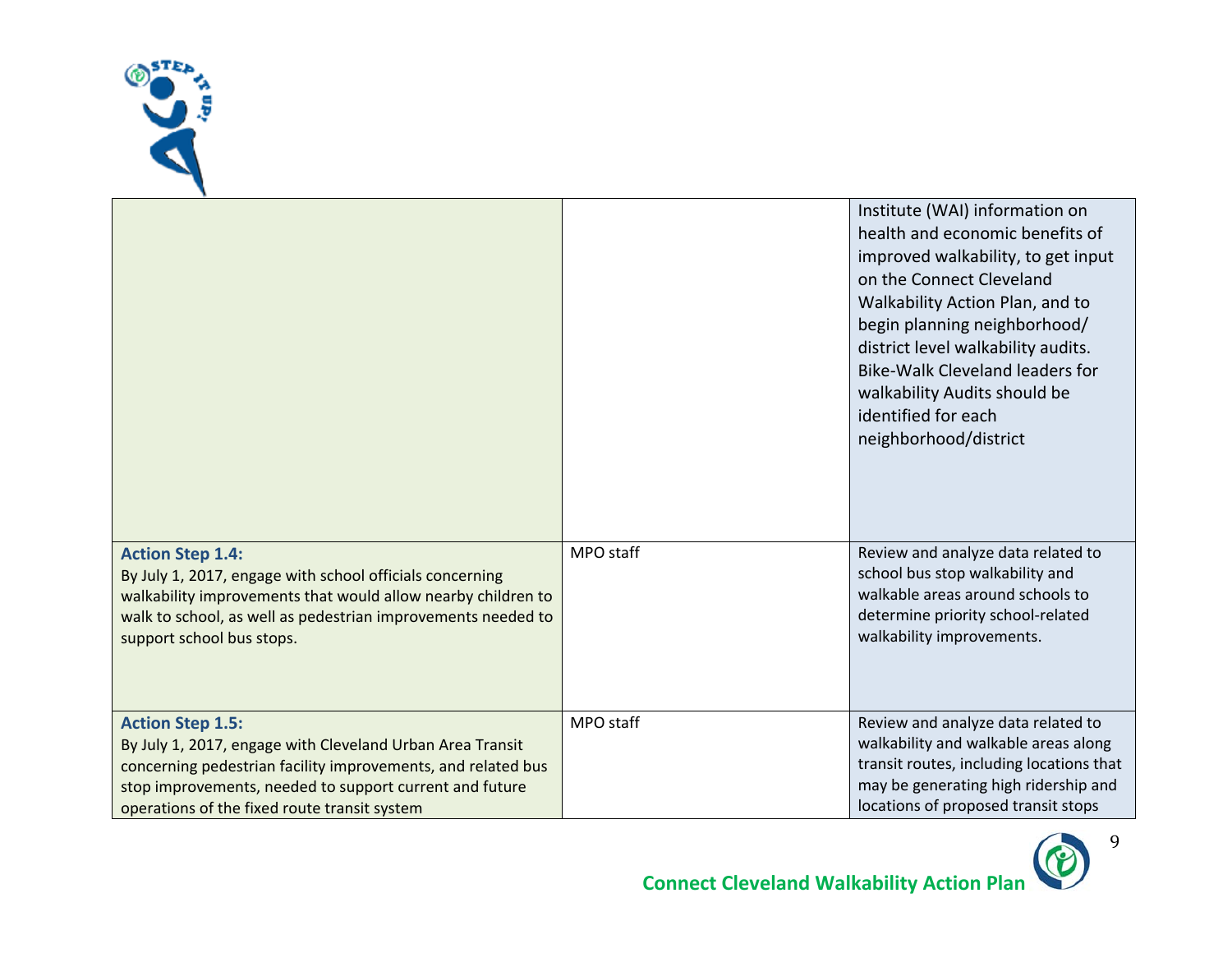

|                                                                                                                                                                                                                                                                 |           | Institute (WAI) information on<br>health and economic benefits of<br>improved walkability, to get input<br>on the Connect Cleveland<br>Walkability Action Plan, and to<br>begin planning neighborhood/<br>district level walkability audits.<br><b>Bike-Walk Cleveland leaders for</b><br>walkability Audits should be<br>identified for each<br>neighborhood/district |
|-----------------------------------------------------------------------------------------------------------------------------------------------------------------------------------------------------------------------------------------------------------------|-----------|------------------------------------------------------------------------------------------------------------------------------------------------------------------------------------------------------------------------------------------------------------------------------------------------------------------------------------------------------------------------|
| <b>Action Step 1.4:</b><br>By July 1, 2017, engage with school officials concerning<br>walkability improvements that would allow nearby children to<br>walk to school, as well as pedestrian improvements needed to<br>support school bus stops.                | MPO staff | Review and analyze data related to<br>school bus stop walkability and<br>walkable areas around schools to<br>determine priority school-related<br>walkability improvements.                                                                                                                                                                                            |
| <b>Action Step 1.5:</b><br>By July 1, 2017, engage with Cleveland Urban Area Transit<br>concerning pedestrian facility improvements, and related bus<br>stop improvements, needed to support current and future<br>operations of the fixed route transit system | MPO staff | Review and analyze data related to<br>walkability and walkable areas along<br>transit routes, including locations that<br>may be generating high ridership and<br>locations of proposed transit stops                                                                                                                                                                  |

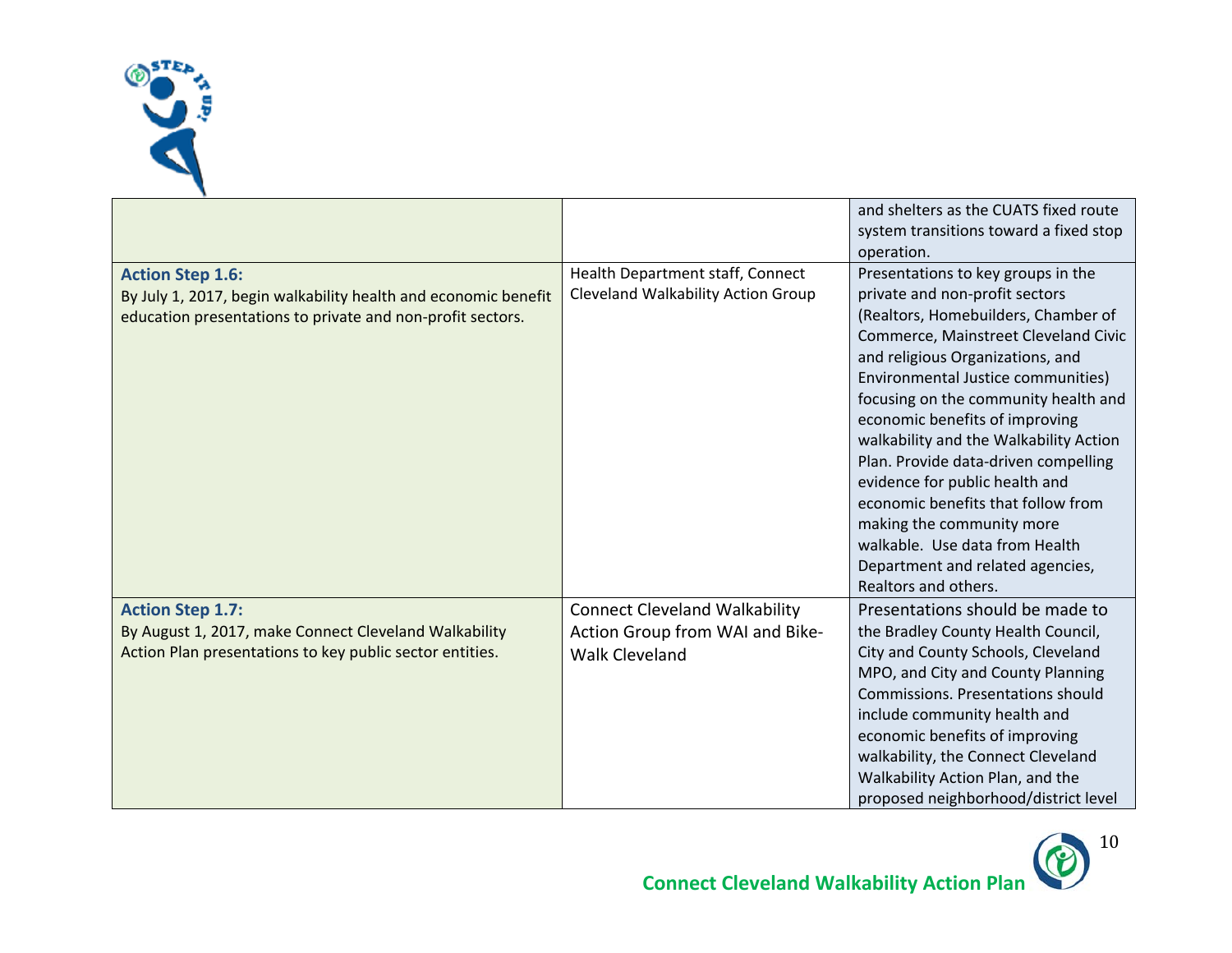

|                                                                                                                                                         |                                                                                                  | and shelters as the CUATS fixed route<br>system transitions toward a fixed stop<br>operation.                                                                                                                                                                                                                                                                                                                                                                                                                                                                                                |
|---------------------------------------------------------------------------------------------------------------------------------------------------------|--------------------------------------------------------------------------------------------------|----------------------------------------------------------------------------------------------------------------------------------------------------------------------------------------------------------------------------------------------------------------------------------------------------------------------------------------------------------------------------------------------------------------------------------------------------------------------------------------------------------------------------------------------------------------------------------------------|
| <b>Action Step 1.6:</b><br>By July 1, 2017, begin walkability health and economic benefit<br>education presentations to private and non-profit sectors. | Health Department staff, Connect<br>Cleveland Walkability Action Group                           | Presentations to key groups in the<br>private and non-profit sectors<br>(Realtors, Homebuilders, Chamber of<br>Commerce, Mainstreet Cleveland Civic<br>and religious Organizations, and<br>Environmental Justice communities)<br>focusing on the community health and<br>economic benefits of improving<br>walkability and the Walkability Action<br>Plan. Provide data-driven compelling<br>evidence for public health and<br>economic benefits that follow from<br>making the community more<br>walkable. Use data from Health<br>Department and related agencies,<br>Realtors and others. |
| <b>Action Step 1.7:</b><br>By August 1, 2017, make Connect Cleveland Walkability<br>Action Plan presentations to key public sector entities.            | <b>Connect Cleveland Walkability</b><br>Action Group from WAI and Bike-<br><b>Walk Cleveland</b> | Presentations should be made to<br>the Bradley County Health Council,<br>City and County Schools, Cleveland<br>MPO, and City and County Planning<br><b>Commissions. Presentations should</b><br>include community health and<br>economic benefits of improving<br>walkability, the Connect Cleveland<br>Walkability Action Plan, and the<br>proposed neighborhood/district level                                                                                                                                                                                                             |

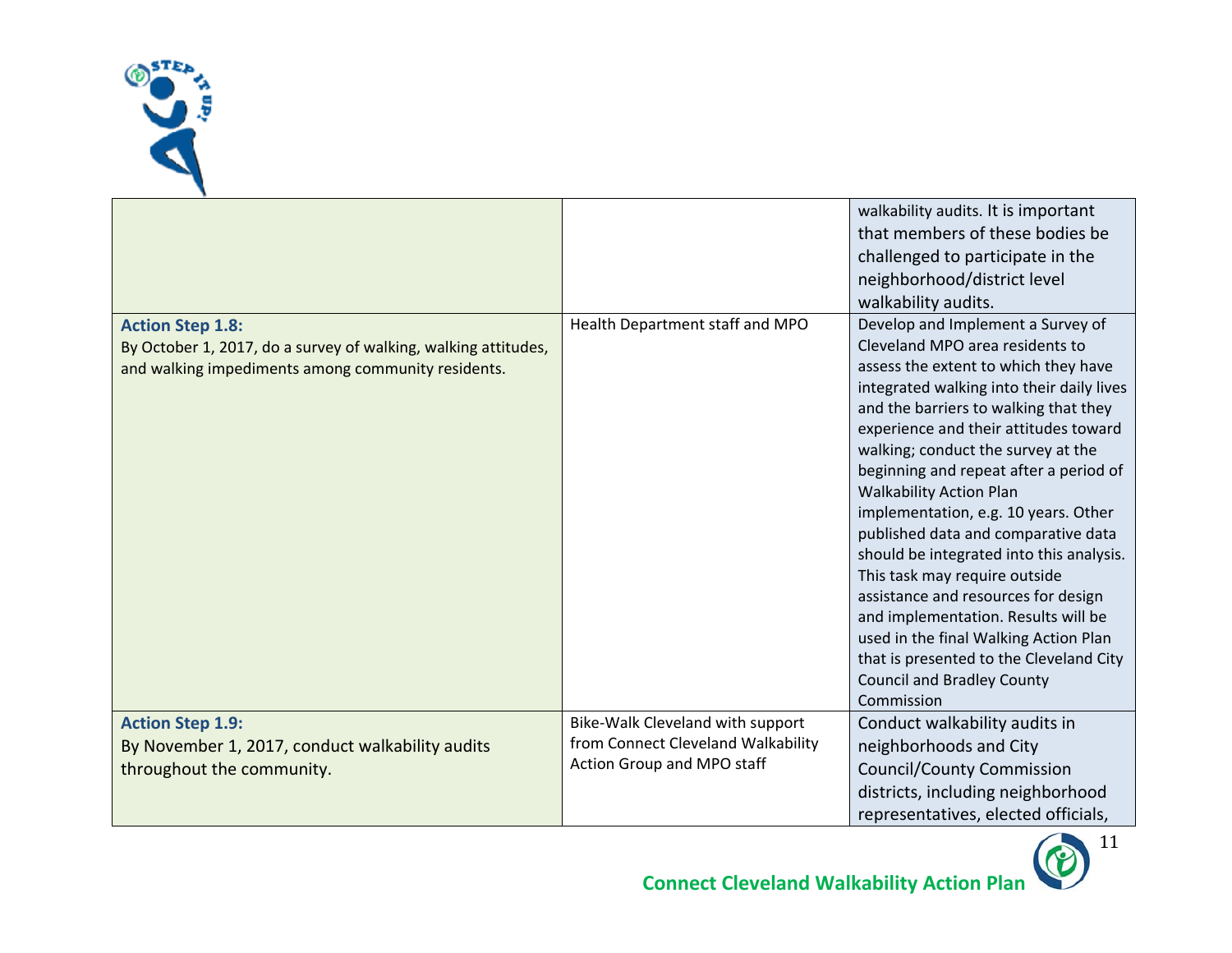

| <b>Action Step 1.8:</b>                                                                                              | Health Department staff and MPO                                                                      | walkability audits. It is important<br>that members of these bodies be<br>challenged to participate in the<br>neighborhood/district level<br>walkability audits.<br>Develop and Implement a Survey of                                                                                                                                                                                                                                                                                                                                                                                                                                                                                                     |
|----------------------------------------------------------------------------------------------------------------------|------------------------------------------------------------------------------------------------------|-----------------------------------------------------------------------------------------------------------------------------------------------------------------------------------------------------------------------------------------------------------------------------------------------------------------------------------------------------------------------------------------------------------------------------------------------------------------------------------------------------------------------------------------------------------------------------------------------------------------------------------------------------------------------------------------------------------|
| By October 1, 2017, do a survey of walking, walking attitudes,<br>and walking impediments among community residents. |                                                                                                      | Cleveland MPO area residents to<br>assess the extent to which they have<br>integrated walking into their daily lives<br>and the barriers to walking that they<br>experience and their attitudes toward<br>walking; conduct the survey at the<br>beginning and repeat after a period of<br><b>Walkability Action Plan</b><br>implementation, e.g. 10 years. Other<br>published data and comparative data<br>should be integrated into this analysis.<br>This task may require outside<br>assistance and resources for design<br>and implementation. Results will be<br>used in the final Walking Action Plan<br>that is presented to the Cleveland City<br><b>Council and Bradley County</b><br>Commission |
| <b>Action Step 1.9:</b><br>By November 1, 2017, conduct walkability audits<br>throughout the community.              | Bike-Walk Cleveland with support<br>from Connect Cleveland Walkability<br>Action Group and MPO staff | Conduct walkability audits in<br>neighborhoods and City<br><b>Council/County Commission</b><br>districts, including neighborhood<br>representatives, elected officials,                                                                                                                                                                                                                                                                                                                                                                                                                                                                                                                                   |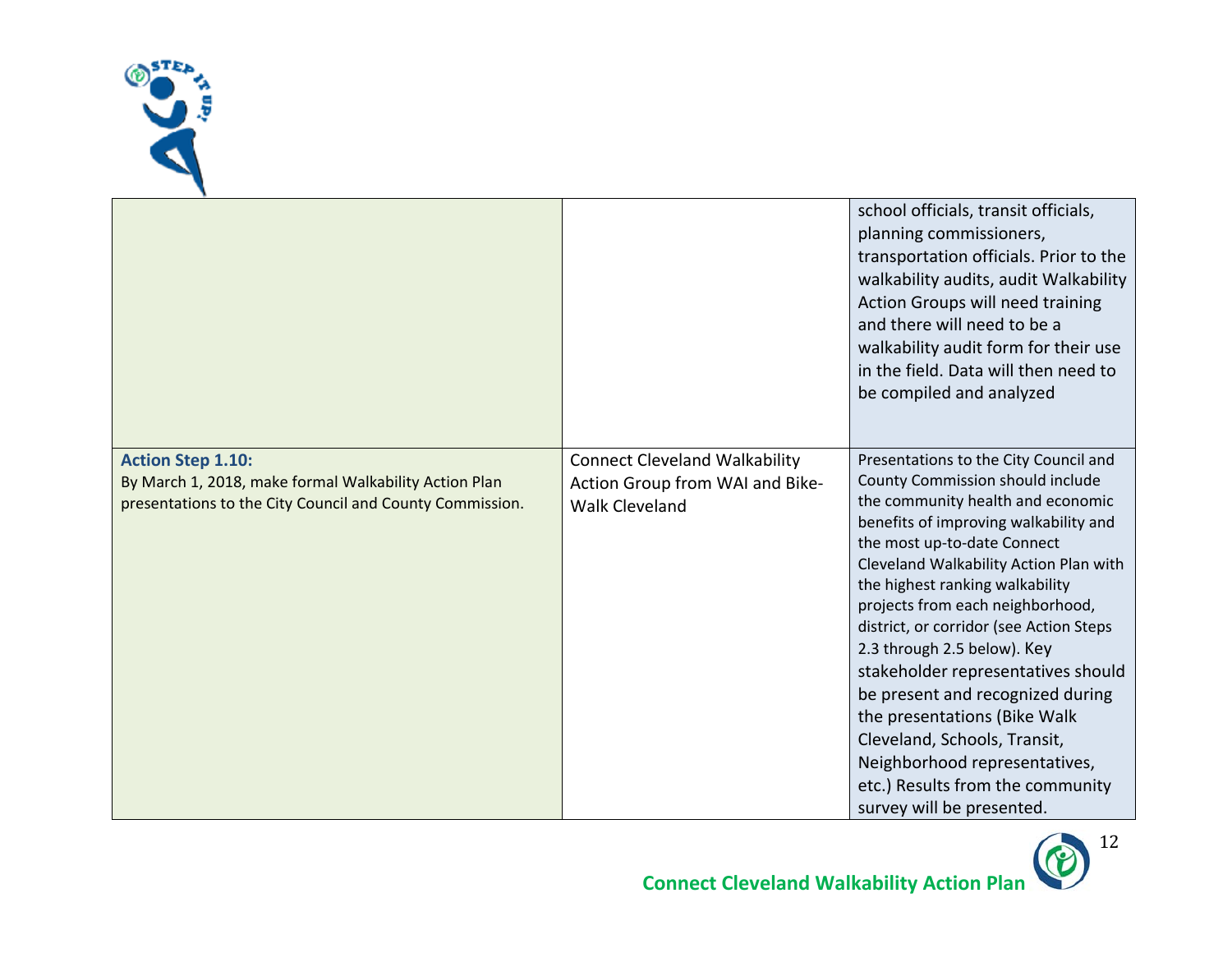

|                                                                                                                                               |                                                                                                  | school officials, transit officials,<br>planning commissioners,<br>transportation officials. Prior to the<br>walkability audits, audit Walkability<br>Action Groups will need training<br>and there will need to be a<br>walkability audit form for their use<br>in the field. Data will then need to<br>be compiled and analyzed                                                                                                                                                                                                                                                                                             |
|-----------------------------------------------------------------------------------------------------------------------------------------------|--------------------------------------------------------------------------------------------------|-------------------------------------------------------------------------------------------------------------------------------------------------------------------------------------------------------------------------------------------------------------------------------------------------------------------------------------------------------------------------------------------------------------------------------------------------------------------------------------------------------------------------------------------------------------------------------------------------------------------------------|
| <b>Action Step 1.10:</b><br>By March 1, 2018, make formal Walkability Action Plan<br>presentations to the City Council and County Commission. | <b>Connect Cleveland Walkability</b><br>Action Group from WAI and Bike-<br><b>Walk Cleveland</b> | Presentations to the City Council and<br>County Commission should include<br>the community health and economic<br>benefits of improving walkability and<br>the most up-to-date Connect<br>Cleveland Walkability Action Plan with<br>the highest ranking walkability<br>projects from each neighborhood,<br>district, or corridor (see Action Steps<br>2.3 through 2.5 below). Key<br>stakeholder representatives should<br>be present and recognized during<br>the presentations (Bike Walk<br>Cleveland, Schools, Transit,<br>Neighborhood representatives,<br>etc.) Results from the community<br>survey will be presented. |

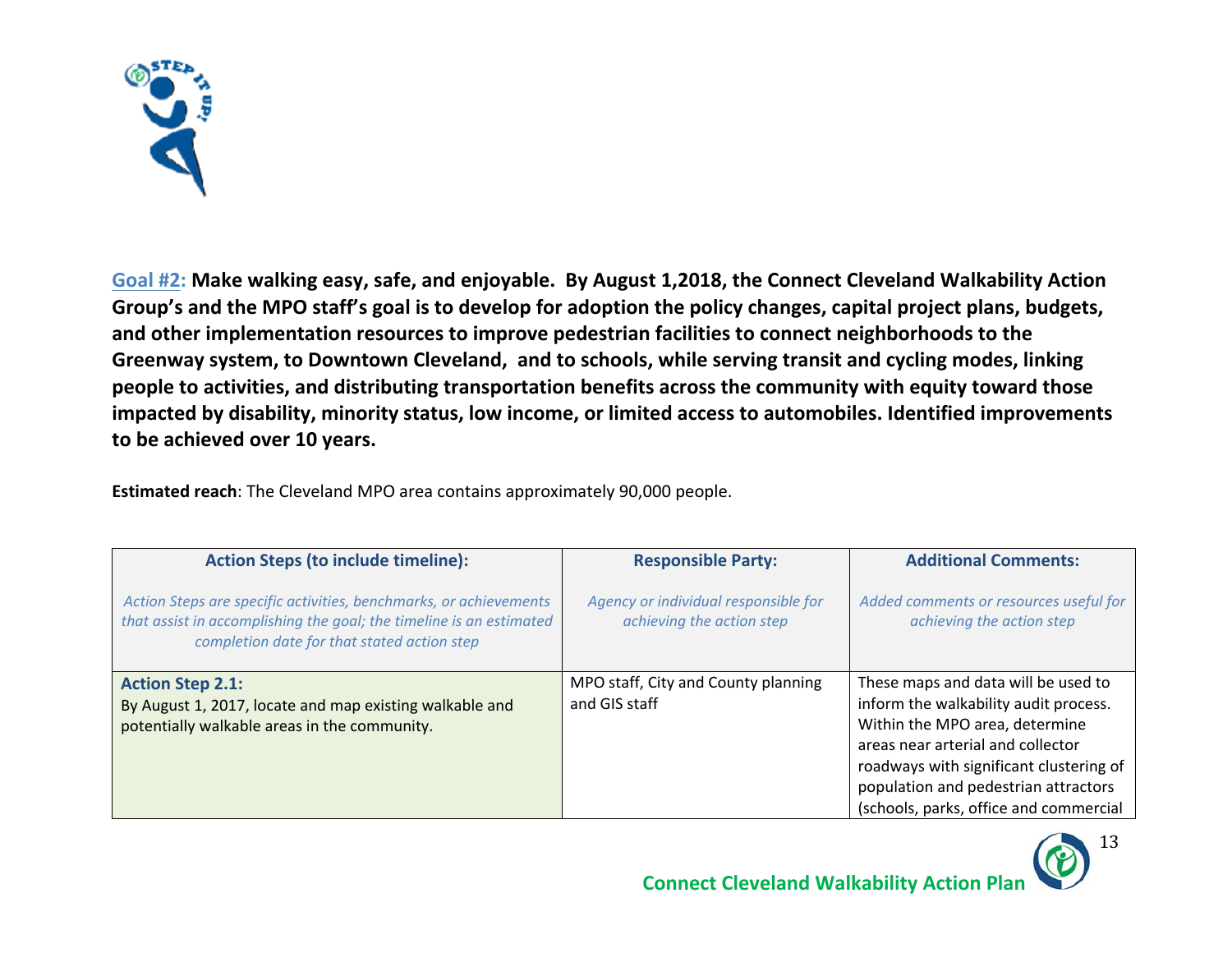

**Goal #2: Make walking easy, safe, and enjoyable. By August 1,2018, the Connect Cleveland Walkability Action Group's and the MPO staff's goal is to develop for adoption the policy changes, capital project plans, budgets, and other implementation resources to improve pedestrian facilities to connect neighborhoods to the Greenway system, to Downtown Cleveland, and to schools, while serving transit and cycling modes, linking people to activities, and distributing transportation benefits across the community with equity toward those impacted by disability, minority status, low income, or limited access to automobiles. Identified improvements**  to be achieved over 10 years.

**Estimated reach**: The Cleveland MPO area contains approximately 90,000 people.

| <b>Action Steps (to include timeline):</b>                                                                                                                                              | <b>Responsible Party:</b>                                         | <b>Additional Comments:</b>                                                                                                                                                                                                                                                      |
|-----------------------------------------------------------------------------------------------------------------------------------------------------------------------------------------|-------------------------------------------------------------------|----------------------------------------------------------------------------------------------------------------------------------------------------------------------------------------------------------------------------------------------------------------------------------|
| Action Steps are specific activities, benchmarks, or achievements<br>that assist in accomplishing the goal; the timeline is an estimated<br>completion date for that stated action step | Agency or individual responsible for<br>achieving the action step | Added comments or resources useful for<br>achieving the action step                                                                                                                                                                                                              |
| <b>Action Step 2.1:</b><br>By August 1, 2017, locate and map existing walkable and<br>potentially walkable areas in the community.                                                      | MPO staff, City and County planning<br>and GIS staff              | These maps and data will be used to<br>inform the walkability audit process.<br>Within the MPO area, determine<br>areas near arterial and collector<br>roadways with significant clustering of<br>population and pedestrian attractors<br>(schools, parks, office and commercial |

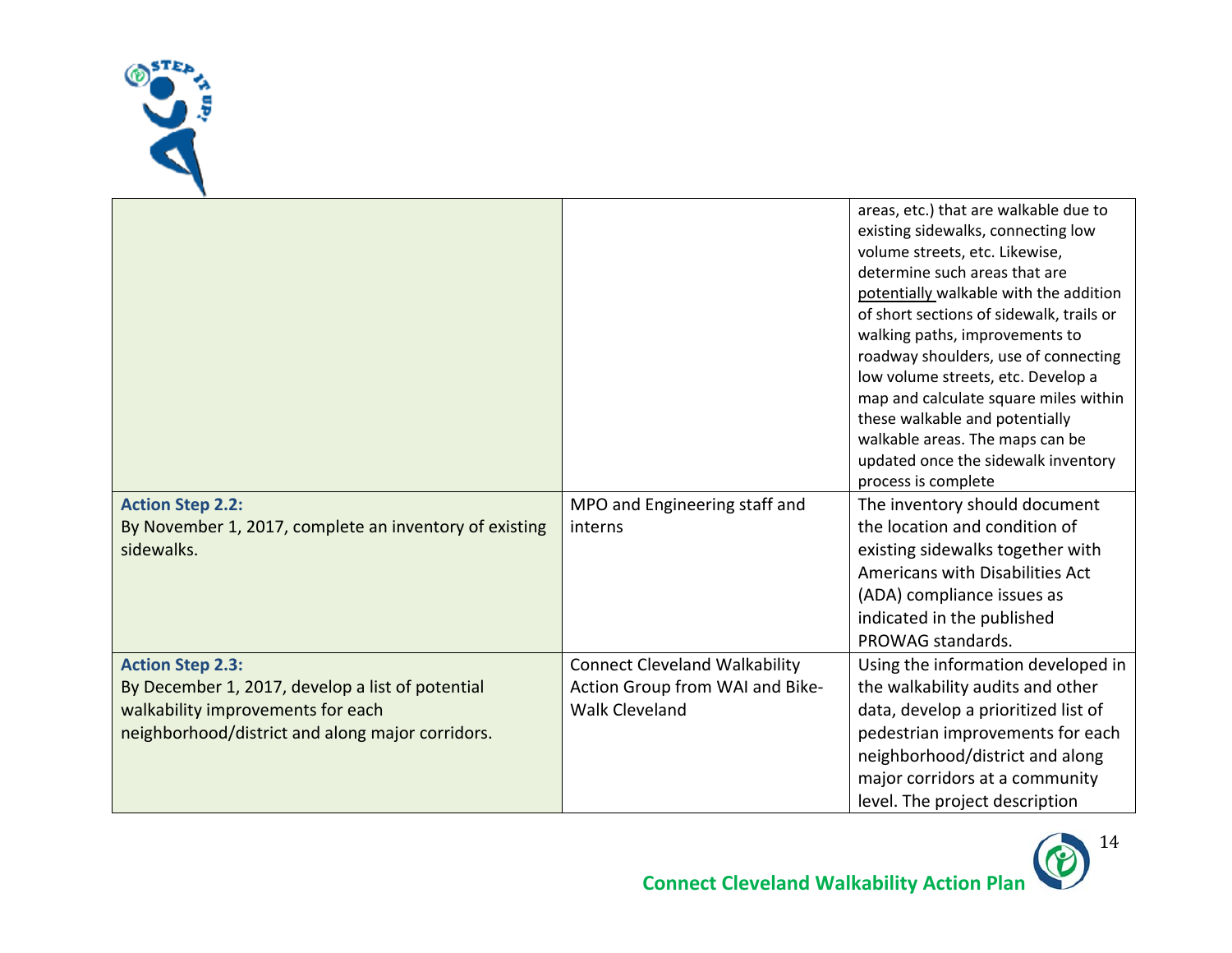

| <b>Action Step 2.2:</b><br>By November 1, 2017, complete an inventory of existing<br>sidewalks.                                                                      | MPO and Engineering staff and<br>interns                                                         | areas, etc.) that are walkable due to<br>existing sidewalks, connecting low<br>volume streets, etc. Likewise,<br>determine such areas that are<br>potentially walkable with the addition<br>of short sections of sidewalk, trails or<br>walking paths, improvements to<br>roadway shoulders, use of connecting<br>low volume streets, etc. Develop a<br>map and calculate square miles within<br>these walkable and potentially<br>walkable areas. The maps can be<br>updated once the sidewalk inventory<br>process is complete<br>The inventory should document<br>the location and condition of<br>existing sidewalks together with<br>Americans with Disabilities Act<br>(ADA) compliance issues as<br>indicated in the published<br>PROWAG standards. |
|----------------------------------------------------------------------------------------------------------------------------------------------------------------------|--------------------------------------------------------------------------------------------------|------------------------------------------------------------------------------------------------------------------------------------------------------------------------------------------------------------------------------------------------------------------------------------------------------------------------------------------------------------------------------------------------------------------------------------------------------------------------------------------------------------------------------------------------------------------------------------------------------------------------------------------------------------------------------------------------------------------------------------------------------------|
| <b>Action Step 2.3:</b><br>By December 1, 2017, develop a list of potential<br>walkability improvements for each<br>neighborhood/district and along major corridors. | <b>Connect Cleveland Walkability</b><br>Action Group from WAI and Bike-<br><b>Walk Cleveland</b> | Using the information developed in<br>the walkability audits and other<br>data, develop a prioritized list of<br>pedestrian improvements for each<br>neighborhood/district and along<br>major corridors at a community<br>level. The project description                                                                                                                                                                                                                                                                                                                                                                                                                                                                                                   |

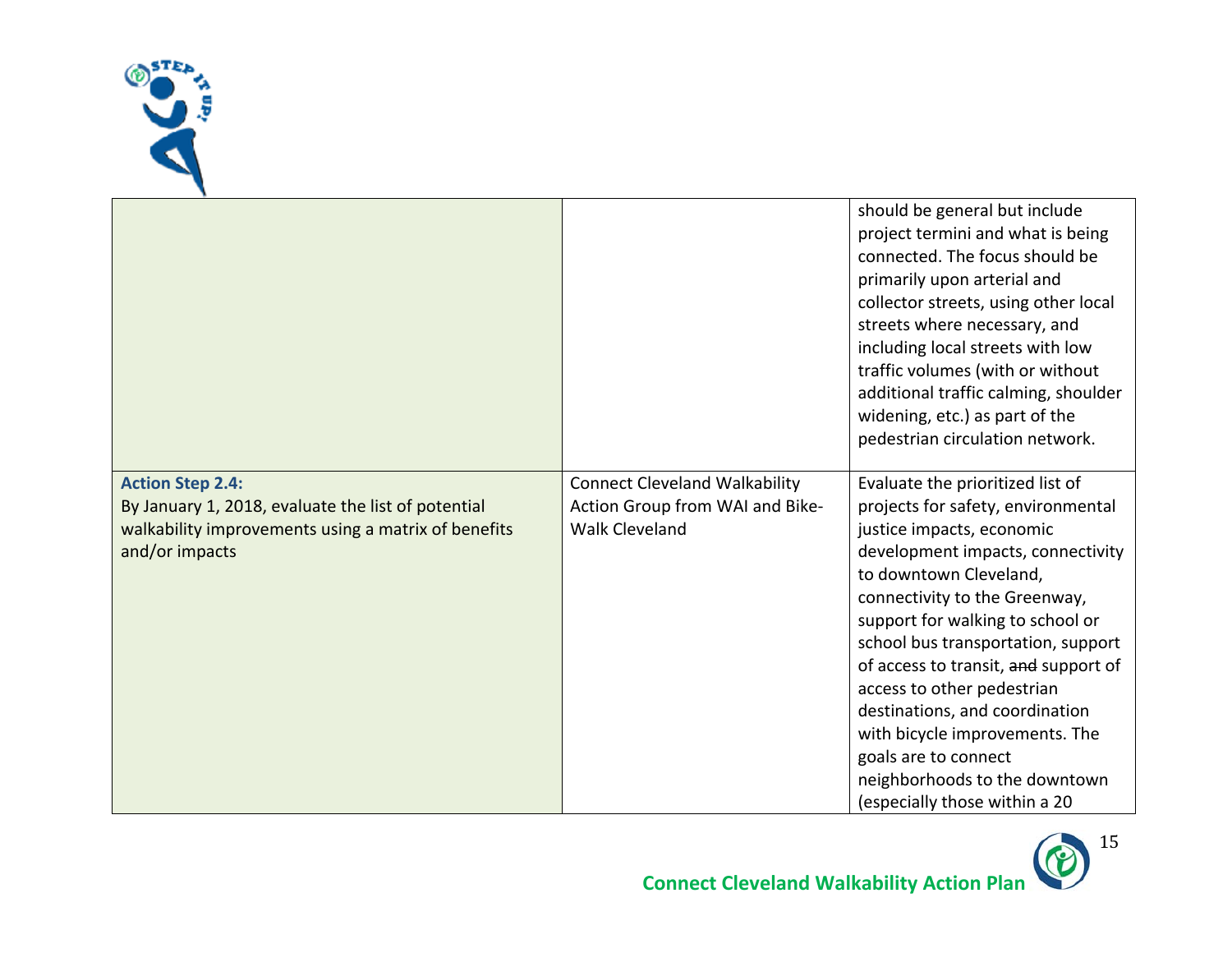

|                                                                                                                                                        |                                                                                                  | should be general but include<br>project termini and what is being<br>connected. The focus should be<br>primarily upon arterial and<br>collector streets, using other local<br>streets where necessary, and<br>including local streets with low<br>traffic volumes (with or without<br>additional traffic calming, shoulder<br>widening, etc.) as part of the<br>pedestrian circulation network.                                                                                                                  |
|--------------------------------------------------------------------------------------------------------------------------------------------------------|--------------------------------------------------------------------------------------------------|-------------------------------------------------------------------------------------------------------------------------------------------------------------------------------------------------------------------------------------------------------------------------------------------------------------------------------------------------------------------------------------------------------------------------------------------------------------------------------------------------------------------|
| <b>Action Step 2.4:</b><br>By January 1, 2018, evaluate the list of potential<br>walkability improvements using a matrix of benefits<br>and/or impacts | <b>Connect Cleveland Walkability</b><br>Action Group from WAI and Bike-<br><b>Walk Cleveland</b> | Evaluate the prioritized list of<br>projects for safety, environmental<br>justice impacts, economic<br>development impacts, connectivity<br>to downtown Cleveland,<br>connectivity to the Greenway,<br>support for walking to school or<br>school bus transportation, support<br>of access to transit, and support of<br>access to other pedestrian<br>destinations, and coordination<br>with bicycle improvements. The<br>goals are to connect<br>neighborhoods to the downtown<br>(especially those within a 20 |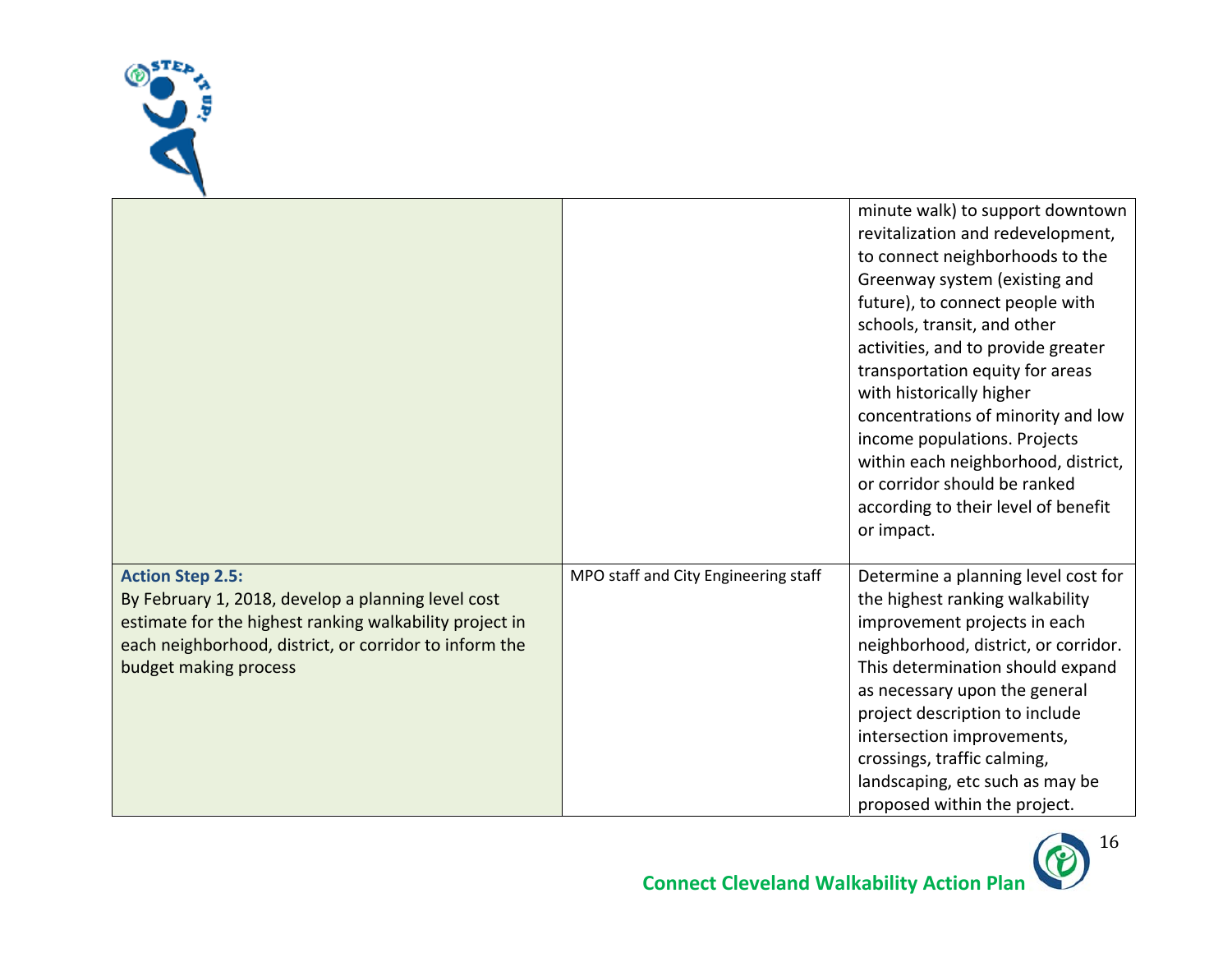

|                                                                                                                                                                                                                             |                                      | minute walk) to support downtown<br>revitalization and redevelopment,<br>to connect neighborhoods to the<br>Greenway system (existing and<br>future), to connect people with<br>schools, transit, and other<br>activities, and to provide greater<br>transportation equity for areas<br>with historically higher<br>concentrations of minority and low<br>income populations. Projects<br>within each neighborhood, district,<br>or corridor should be ranked<br>according to their level of benefit<br>or impact. |
|-----------------------------------------------------------------------------------------------------------------------------------------------------------------------------------------------------------------------------|--------------------------------------|--------------------------------------------------------------------------------------------------------------------------------------------------------------------------------------------------------------------------------------------------------------------------------------------------------------------------------------------------------------------------------------------------------------------------------------------------------------------------------------------------------------------|
| <b>Action Step 2.5:</b><br>By February 1, 2018, develop a planning level cost<br>estimate for the highest ranking walkability project in<br>each neighborhood, district, or corridor to inform the<br>budget making process | MPO staff and City Engineering staff | Determine a planning level cost for<br>the highest ranking walkability<br>improvement projects in each<br>neighborhood, district, or corridor.<br>This determination should expand<br>as necessary upon the general<br>project description to include<br>intersection improvements,<br>crossings, traffic calming,<br>landscaping, etc such as may be<br>proposed within the project.                                                                                                                              |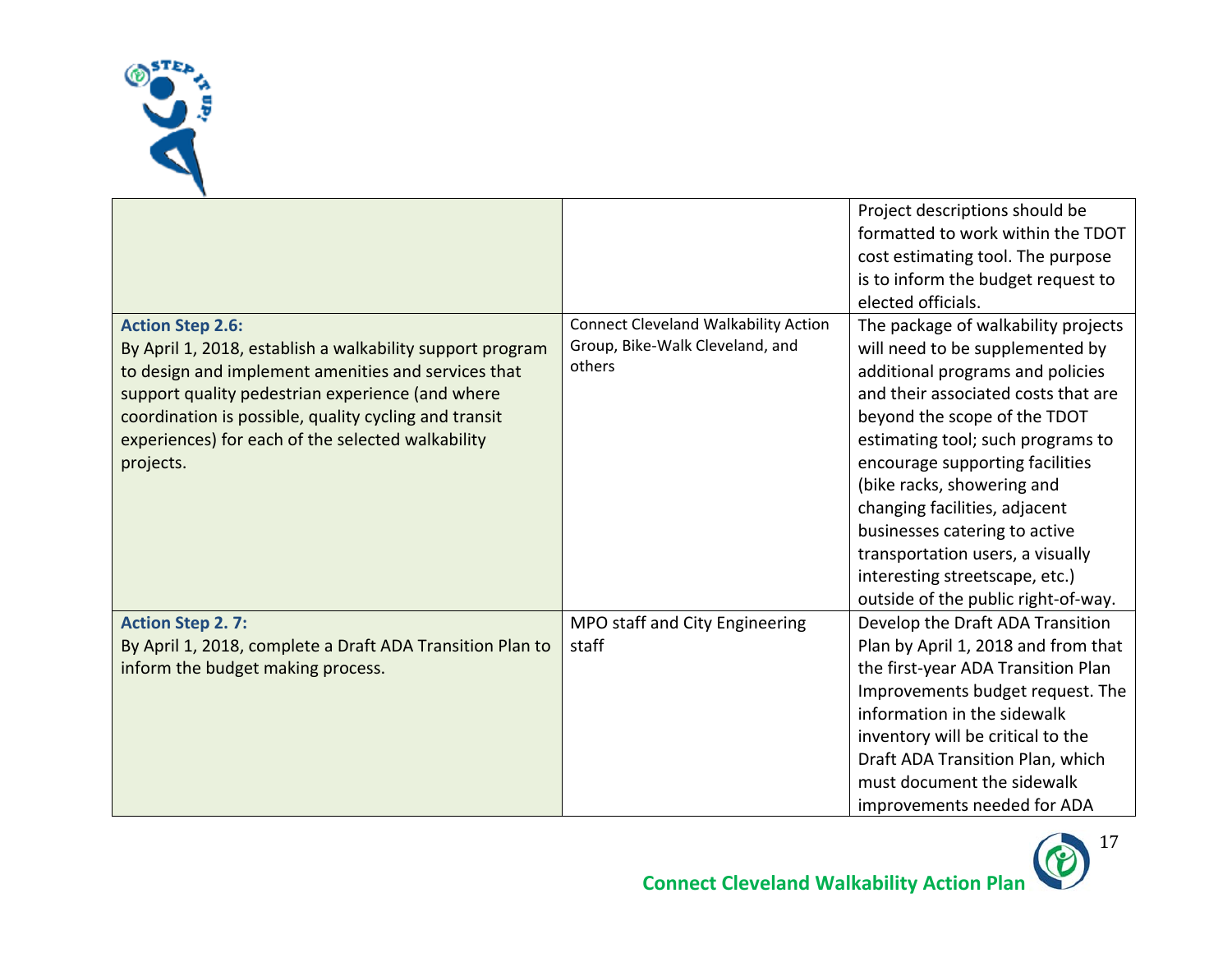

|                                                           |                                             | Project descriptions should be      |
|-----------------------------------------------------------|---------------------------------------------|-------------------------------------|
|                                                           |                                             | formatted to work within the TDOT   |
|                                                           |                                             | cost estimating tool. The purpose   |
|                                                           |                                             | is to inform the budget request to  |
|                                                           |                                             | elected officials.                  |
| <b>Action Step 2.6:</b>                                   | <b>Connect Cleveland Walkability Action</b> | The package of walkability projects |
| By April 1, 2018, establish a walkability support program | Group, Bike-Walk Cleveland, and             | will need to be supplemented by     |
| to design and implement amenities and services that       | others                                      | additional programs and policies    |
| support quality pedestrian experience (and where          |                                             | and their associated costs that are |
| coordination is possible, quality cycling and transit     |                                             | beyond the scope of the TDOT        |
| experiences) for each of the selected walkability         |                                             | estimating tool; such programs to   |
| projects.                                                 |                                             | encourage supporting facilities     |
|                                                           |                                             | (bike racks, showering and          |
|                                                           |                                             | changing facilities, adjacent       |
|                                                           |                                             | businesses catering to active       |
|                                                           |                                             | transportation users, a visually    |
|                                                           |                                             | interesting streetscape, etc.)      |
|                                                           |                                             | outside of the public right-of-way. |
| <b>Action Step 2.7:</b>                                   | MPO staff and City Engineering              | Develop the Draft ADA Transition    |
| By April 1, 2018, complete a Draft ADA Transition Plan to | staff                                       | Plan by April 1, 2018 and from that |
| inform the budget making process.                         |                                             | the first-year ADA Transition Plan  |
|                                                           |                                             | Improvements budget request. The    |
|                                                           |                                             | information in the sidewalk         |
|                                                           |                                             | inventory will be critical to the   |
|                                                           |                                             | Draft ADA Transition Plan, which    |
|                                                           |                                             | must document the sidewalk          |
|                                                           |                                             | improvements needed for ADA         |

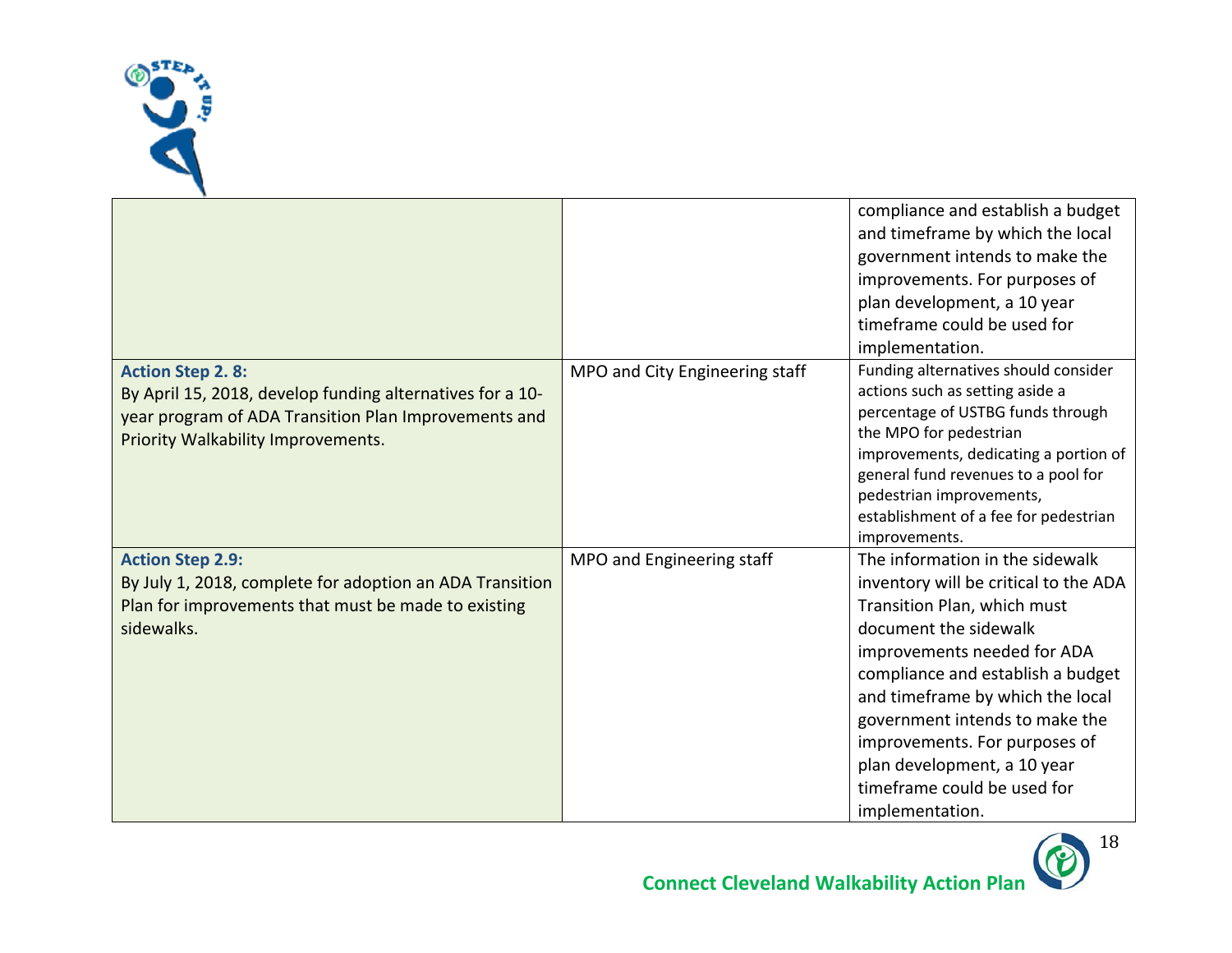

|                                                                                                                                                                                    |                                | compliance and establish a budget<br>and timeframe by which the local<br>government intends to make the<br>improvements. For purposes of<br>plan development, a 10 year<br>timeframe could be used for<br>implementation.                                                                                                                                                                    |
|------------------------------------------------------------------------------------------------------------------------------------------------------------------------------------|--------------------------------|----------------------------------------------------------------------------------------------------------------------------------------------------------------------------------------------------------------------------------------------------------------------------------------------------------------------------------------------------------------------------------------------|
| <b>Action Step 2.8:</b><br>By April 15, 2018, develop funding alternatives for a 10-<br>year program of ADA Transition Plan Improvements and<br>Priority Walkability Improvements. | MPO and City Engineering staff | Funding alternatives should consider<br>actions such as setting aside a<br>percentage of USTBG funds through<br>the MPO for pedestrian<br>improvements, dedicating a portion of<br>general fund revenues to a pool for<br>pedestrian improvements,<br>establishment of a fee for pedestrian<br>improvements.                                                                                 |
| <b>Action Step 2.9:</b><br>By July 1, 2018, complete for adoption an ADA Transition<br>Plan for improvements that must be made to existing<br>sidewalks.                           | MPO and Engineering staff      | The information in the sidewalk<br>inventory will be critical to the ADA<br>Transition Plan, which must<br>document the sidewalk<br>improvements needed for ADA<br>compliance and establish a budget<br>and timeframe by which the local<br>government intends to make the<br>improvements. For purposes of<br>plan development, a 10 year<br>timeframe could be used for<br>implementation. |